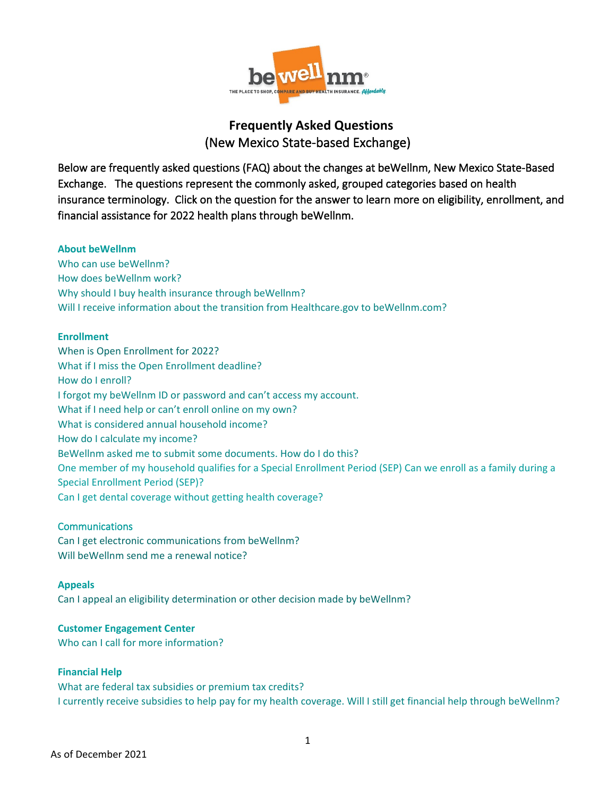

# **Frequently Asked Questions** (New Mexico State-based Exchange)

<span id="page-0-0"></span>Below are frequently asked questions (FAQ) about the changes at beWellnm, New Mexico State-Based Exchange. The questions represent the commonly asked, grouped categories based on health insurance terminology. Click on the question for the answer to learn more on eligibility, enrollment, and financial assistance for 2022 health plans through beWellnm.

#### **[About beWellnm](#page-2-0)**

[Who can use](#page-2-1) beWellnm? [How does beWellnm work?](#page-2-2) [Why should I buy health insurance through beWellnm?](#page-2-3) [Will I receive information about the transition from Healthcare.gov to beWellnm.com?](#page-2-4)

#### **[Enrollment](#page-3-0)**

[When is Open Enrollment for 2022?](#page-3-1) [What if I miss the Open Enrollment deadline?](#page-3-2) [How do I enroll?](#page-3-3) [I forgot my beWellnm ID or password and can't access my account.](#page-3-4) [What if I need help or can't enroll online on my own?](#page-3-5) [What is considered annual household income?](#page-4-0) [How do I calculate my income?](#page-4-1) [BeWellnm asked me to submit some documents. How do I do this?](#page-4-2) [One member of my household qualifies for a Special Enrollment Period \(SEP\)](#page-4-3) Can we enroll as a family during a [Special Enrollment Period \(SEP\)?](#page-4-3) [Can I get dental coverage without getting health coverage?](#page-4-4)

#### **[Communications](#page-5-0)**

[Can I get electronic communications from beWellnm?](#page-5-1) [Will beWellnm send me a renewal notice?](#page-5-2)

#### **[Appeals](#page-5-3)**

[Can I appeal an eligibility determination or other decision](#page-5-4) made by beWellnm?

#### **[Customer Engagement Center](#page-5-5)**

[Who can I call for more information?](#page-5-6)

#### **[Financial Help](#page-5-7)**

[What are federal tax subsidies or premium tax credits?](#page-5-8) [I currently receive subsidies to help pay for my health coverage. Will I still get financial help through](#page-6-0) beWellnm?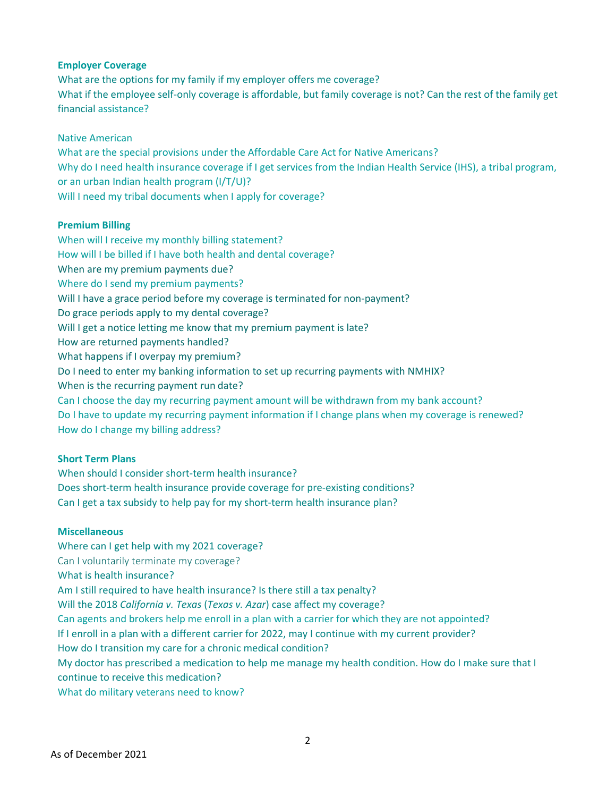#### **[Employer Coverage](#page-6-1)**

[What are the options for my family if my employer offers me coverage?](#page-6-2) [What if the employee self-only coverage is affordable, but family coverage is not? Can the rest of the family get](#page-6-3)  [financial assistance?](#page-6-3)

#### [Native American](#page-6-4)

[What are the special provisions under the Affordable Care Act for Native Americans?](#page-7-0) Why do I need health insurance coverage if I get services from the Indian Health Service (IHS), a tribal program, [or an urban Indian health program \(I/T/U\)?](#page-7-1) Will I need [my tribal documents when I apply for coverage?](#page-7-2)

#### **[Premium Billing](#page-8-0)**

[When will I receive my monthly billing statement?](#page-8-1) [How will I be billed if I have both health and dental coverage?](#page-8-2) [When are my premium payments due?](#page-8-3) [Where do I send my premium payments?](#page-8-4) [Will I have a grace period before my coverage is terminated for non-payment?](#page-8-5) [Do grace periods apply to my dental coverage?](#page-8-6) [Will I get a notice letting me know that my premium payment is late?](#page-8-7) [How are returned payments handled?](#page-8-8) [What happens if I overpay my premium?](#page-9-0) [Do I need to enter my banking information to set up recurring payments with NMHIX?](#page-9-1) [When is the recurring payment run](#page-9-2) date? Can I choose [the day my recurring payment amount will be withdrawn from my bank account?](#page-9-3) [Do I have to update my recurring payment information if I change plans when my coverage is renewed?](#page-9-4) [How do I change my billing address?](#page-10-0)

#### **[Short Term Plans](#page-10-1)**

[When should I consider short-term health insurance?](#page-10-2) [Does short-term health insurance provide coverage for pre-existing conditions?](#page-10-3) [Can I get a tax subsidy to help pay for my short-term health insurance plan?](#page-10-4)

#### **[Miscellaneous](#page-11-0)**

[Where can I get help with my 2021 coverage?](#page-11-1) [Can I voluntarily terminate my coverage?](#page-11-2) [What is health insurance?](#page-11-3) [Am I still required to have health insurance? Is there still a tax penalty?](#page-11-4) Will the 2018 *[California v. Texas](#page-11-5)* (*Texas v. Azar*) case affect my coverage? Can [agents and brokers help me enroll in a plan with a carrier for which they are not appointed?](#page-11-6) [If I enroll in a plan with a different carrier for 2022, may I continue with my current provider?](#page-11-7) [How do I transition my care for a chronic medical condition?](#page-11-8) [My doctor has prescribed a medication to help me manage my health condition. How do I make sure that I](#page-12-0)  [continue to receive this](#page-12-0) medication? [What do military veterans need to know?](#page-12-1)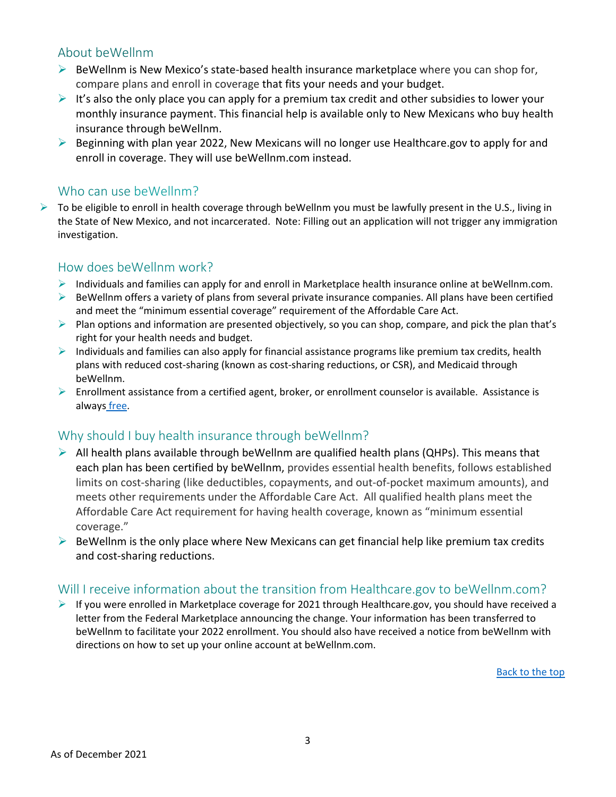# <span id="page-2-0"></span>About beWellnm

- $\triangleright$  BeWellnm is New Mexico's state-based health insurance marketplace where you can shop for, compare plans and enroll in coverage that fits your needs and your budget.
- $\triangleright$  It's also the only place you can apply for a premium tax credit and other subsidies to lower your monthly insurance payment. This financial help is available only to New Mexicans who buy health insurance through beWellnm.
- $\triangleright$  Beginning with plan year 2022, New Mexicans will no longer use Healthcare.gov to apply for and enroll in coverage. They will use beWellnm.com instead.

# <span id="page-2-1"></span>Who can use beWellnm?

 $\triangleright$  To be eligible to enroll in health coverage through beWellnm you must be lawfully present in the U.S., living in the State of New Mexico, and not incarcerated. Note: Filling out an application will not trigger any immigration investigation.

### <span id="page-2-2"></span>How does beWellnm work?

- Individuals and families can apply for and enroll in Marketplace health insurance online at beWellnm.com.
- $\triangleright$  BeWellnm offers a variety of plans from several private insurance companies. All plans have been certified and meet the "minimum essential coverage" requirement of the Affordable Care Act.
- $\triangleright$  Plan options and information are presented objectively, so you can shop, compare, and pick the plan that's right for your health needs and budget.
- $\triangleright$  Individuals and families can also apply for financial assistance programs like premium tax credits, health plans with reduced cost-sharing (known as cost-sharing reductions, or CSR), and Medicaid through beWellnm.
- Enrollment assistance from a certified agent, broker, or enrollment counselor is available. Assistance is always [free.](https://app.bigwavesystems.com/lp/9D1D5F0B-6607-4DB1-9DDD-F5843BE0DC7C)

# <span id="page-2-3"></span>Why should I buy health insurance through beWellnm?

- $\triangleright$  All health plans available through beWellnm are qualified health plans (QHPs). This means that each plan has been certified by beWellnm, provides essential health benefits, follows established limits on cost-sharing (like deductibles, copayments, and out-of-pocket maximum amounts), and meets other requirements under the Affordable Care Act. All qualified health plans meet the Affordable Care Act requirement for having health coverage, known as "minimum essential coverage."
- $\triangleright$  BeWellnm is the only place where New Mexicans can get financial help like premium tax credits and cost-sharing reductions.

# <span id="page-2-4"></span>Will I receive information about the transition from Healthcare.gov to beWellnm.com?

 $\triangleright$  If you were enrolled in Marketplace coverage for 2021 through Healthcare.gov, you should have received a letter from the Federal Marketplace announcing the change. Your information has been transferred to beWellnm to facilitate your 2022 enrollment. You should also have received a notice from beWellnm with directions on how to set up your online account at beWellnm.com.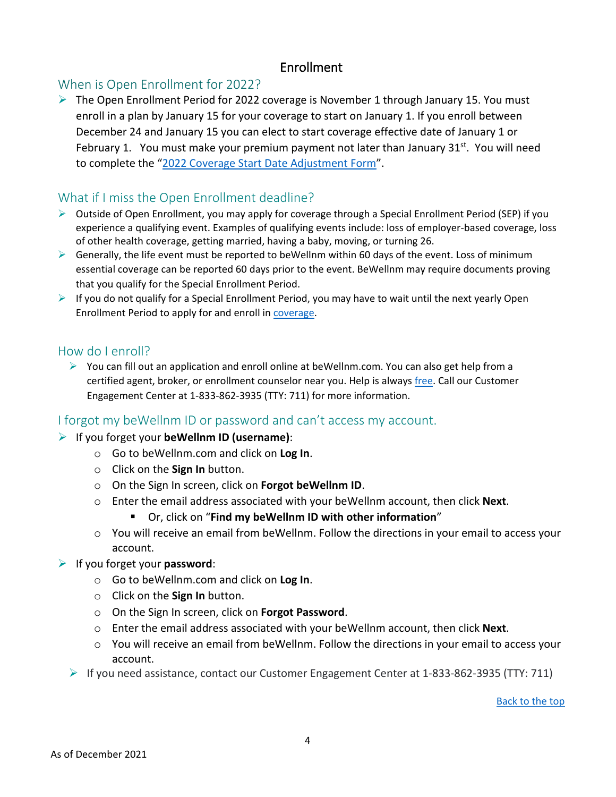# Enrollment

# <span id="page-3-1"></span><span id="page-3-0"></span>When is Open Enrollment for 2022?

 $\triangleright$  The Open Enrollment Period for 2022 coverage is November 1 through January 15. You must enroll in a plan by January 15 for your coverage to start on January 1. If you enroll between December 24 and January 15 you can elect to start coverage effective date of January 1 or February 1. You must make your premium payment not later than January  $31<sup>st</sup>$ . You will need to complete the ["2022 Coverage Start Date Adjustment Form"](https://www.bewellnm.com/wp-content/uploads/2021/12/2022-Coverage-Start-Date.pdf).

# <span id="page-3-2"></span>What if I miss the Open Enrollment deadline?

- $\triangleright$  Outside of Open Enrollment, you may apply for coverage through a Special Enrollment Period (SEP) if you experience a qualifying event. Examples of qualifying events include: loss of employer-based coverage, loss of other health coverage, getting married, having a baby, moving, or turning 26.
- $\triangleright$  Generally, the life event must be reported to beWellnm within 60 days of the event. Loss of minimum essential coverage can be reported 60 days prior to the event. BeWellnm may require documents proving that you qualify for the Special Enrollment Period.
- $\triangleright$  If you do not qualify for a Special Enrollment Period, you may have to wait until the next yearly Open Enrollment Period to apply for and enroll in [coverage.](https://nfpnewmexico.force.com/knowledgebase/s/article/Enrolling-in-Coverage)

### <span id="page-3-3"></span>How do I enroll?

 $\triangleright$  You can fill out an application and enroll online at beWellnm.com. You can also get help from a certified agent, broker, or enrollment counselor near you. Help is always [free.](https://app.bigwavesystems.com/lp/9D1D5F0B-6607-4DB1-9DDD-F5843BE0DC7C) Call our Customer Engagement Center at 1-833-862-3935 (TTY: 711) for more information.

#### <span id="page-3-4"></span>I forgot my beWellnm ID or password and can't access my account.

- If you forget your **beWellnm ID (username)**:
	- o Go to beWellnm.com and click on **Log In**.
	- o Click on the **Sign In** button.
	- o On the Sign In screen, click on **Forgot beWellnm ID**.
	- o Enter the email address associated with your beWellnm account, then click **Next**.
		- Or, click on "**Find my beWellnm ID with other information**"
	- $\circ$  You will receive an email from beWellnm. Follow the directions in your email to access your account.
- <span id="page-3-5"></span> If you forget your **password**:
	- o Go to beWellnm.com and click on **Log In**.
	- o Click on the **Sign In** button.
	- o On the Sign In screen, click on **Forgot Password**.
	- o Enter the email address associated with your beWellnm account, then click **Next**.
	- $\circ$  You will receive an email from beWellnm. Follow the directions in your email to access your account.
	- If you need assistance, contact our Customer Engagement Center at 1-833-862-3935 (TTY: 711)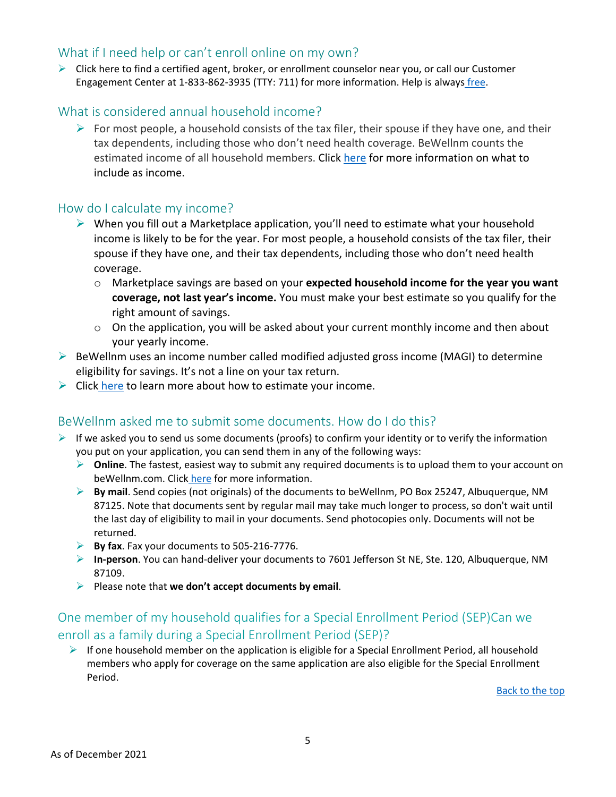# What if I need help or can't enroll online on my own?

 $\triangleright$  Click here to find a certified agent, broker, or enrollment counselor near you, or call our Customer Engagement Center at 1-833-862-3935 (TTY: 711) for more information. Help is always [free.](https://app.bigwavesystems.com/lp/9D1D5F0B-6607-4DB1-9DDD-F5843BE0DC7C)

# <span id="page-4-0"></span>What is considered annual household income?

 $\triangleright$  For most people, a household consists of the tax filer, their spouse if they have one, and their tax dependents, including those who don't need health coverage. BeWellnm counts the estimated income of all household members. Clic[k here](https://nfpnewmexico.force.com/knowledgebase/s/article/What-to-Include-as-Income) for more information on what to include as income.

### <span id="page-4-1"></span>How do I calculate my income?

- $\triangleright$  When you fill out a Marketplace application, you'll need to estimate what your household income is likely to be for the year. For most people, a household consists of the tax filer, their spouse if they have one, and their tax dependents, including those who don't need health coverage.
	- o Marketplace savings are based on your **expected household income for the year you want coverage, not last year's income.** You must make your best estimate so you qualify for the right amount of savings.
	- $\circ$  On the application, you will be asked about your current monthly income and then about your yearly income.
- $\triangleright$  BeWellnm uses an income number called modified adjusted gross income (MAGI) to determine eligibility for savings. It's not a line on your tax return.
- $\triangleright$  [Click](http://www.bewellnm.com/help/to-learn-more) [here](https://nfpnewmexico.force.com/knowledgebase/s/article/What-to-Include-as-Income) to learn more about how to estimate your income.

# <span id="page-4-2"></span>BeWellnm asked me to submit some documents. How do I do this?

- If we asked you to send us some documents (proofs) to confirm your identity or to verify the information you put on your application, you can send them in any of the following ways:
	- **▶ Online**. The fastest, easiest way to submit any required documents is to upload them to your account on beWellnm.com. Click [here](https://nfpnewmexico.force.com/knowledgebase/s/article/Submitting-Required-Documents) for more information.
	- **By mail**. Send copies (not originals) of the documents to beWellnm, PO Box 25247, Albuquerque, NM 87125. Note that documents sent by regular mail may take much longer to process, so don't wait until the last day of eligibility to mail in your documents. Send photocopies only. Documents will not be returned.
	- **By fax**. Fax your documents to 505-216-7776.
	- **In-person**. You can hand-deliver your documents to 7601 Jefferson St NE, Ste. 120, Albuquerque, NM 87109.
	- Please note that **we don't accept documents by email**.

# <span id="page-4-3"></span>One member of my household qualifies for a Special Enrollment Period (SEP)Can we enroll as a family during a Special Enrollment Period (SEP)?

<span id="page-4-4"></span> $\triangleright$  If one household member on the application is eligible for a Special Enrollment Period, all household members who apply for coverage on the same application are also eligible for the Special Enrollment Period.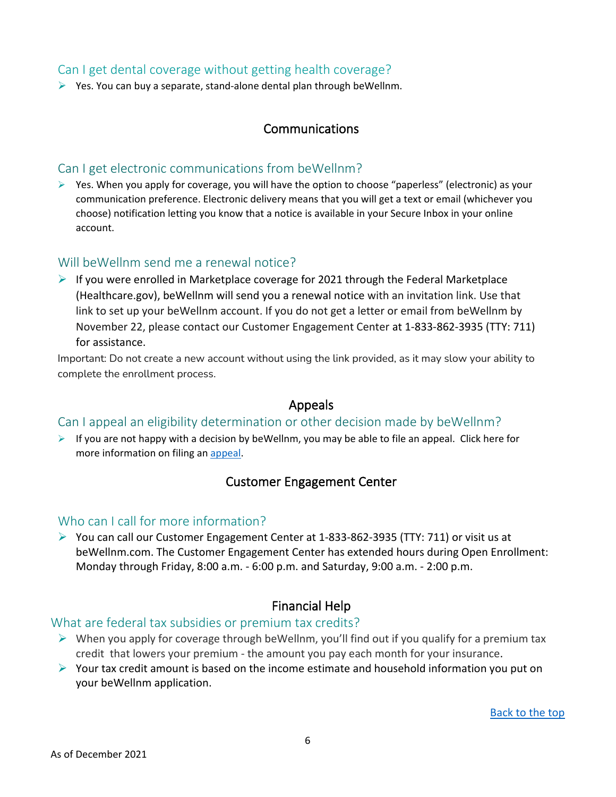# Can I get dental coverage without getting health coverage?

<span id="page-5-0"></span> $\triangleright$  Yes. You can buy a separate, stand-alone dental plan through beWellnm.

# Communications

## <span id="page-5-1"></span>Can I get electronic communications from beWellnm?

 $\triangleright$  Yes. When you apply for coverage, you will have the option to choose "paperless" (electronic) as your communication preference. Electronic delivery means that you will get a text or email (whichever you choose) notification letting you know that a notice is available in your Secure Inbox in your online account.

### <span id="page-5-2"></span>Will beWellnm send me a renewal notice?

 $\triangleright$  If you were enrolled in Marketplace coverage for 2021 through the Federal Marketplace (Healthcare.gov), beWellnm will send you a renewal notice with an invitation link. Use that link to set up your beWellnm account. If you do not get a letter or email from beWellnm by November 22, please contact our Customer Engagement Center at 1-833-862-3935 (TTY: 711) for assistance.

Important: Do not create a new account without using the link provided, as it may slow your ability to complete the enrollment process.

#### Appeals

#### <span id="page-5-4"></span><span id="page-5-3"></span>Can I appeal an eligibility determination or other decision made by beWellnm?

<span id="page-5-5"></span> $\triangleright$  If you are not happy with a decision by beWellnm, you may be able to file an appeal. Click here for more information on filing an [appeal.](https://nfpnewmexico.force.com/knowledgebase/s/article/Appeals)

# Customer Engagement Center

#### <span id="page-5-6"></span>Who can I call for more information?

 $\triangleright$  You can call our Customer Engagement Center at 1-833-862-3935 (TTY: 711) or visit us at beWellnm.com. The Customer Engagement Center has extended hours during Open Enrollment: Monday through Friday, 8:00 a.m. - 6:00 p.m. and Saturday, 9:00 a.m. - 2:00 p.m.

# Financial Help

#### <span id="page-5-8"></span><span id="page-5-7"></span>What are federal tax subsidies or premium tax credits?

- $\triangleright$  When you apply for coverage through beWellnm, you'll find out if you qualify for a premium tax credit that lowers your premium - the amount you pay each month for your insurance.
- $\triangleright$  Your tax credit amount is based on the income estimate and household information you put on your beWellnm application.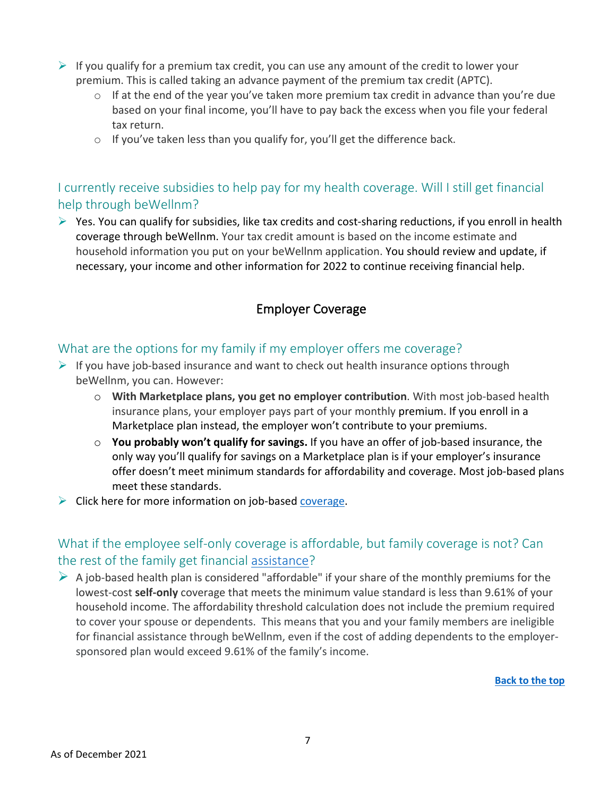- $\triangleright$  If you qualify for a premium tax credit, you can use any amount of the credit to lower your premium. This is called taking an advance payment of the premium tax credit (APTC).
	- $\circ$  If at the end of the year you've taken more premium tax credit in advance than you're due based on your final income, you'll have to pay back the excess when you file your federal tax return.
	- o If you've taken less than you qualify for, you'll get the difference back.

# <span id="page-6-0"></span>I currently receive subsidies to help pay for my health coverage. Will I still get financial help through beWellnm?

 $\triangleright$  Yes. You can qualify for subsidies, like tax credits and cost-sharing reductions, if you enroll in health coverage through beWellnm. Your tax credit amount is based on the income estimate and household information you put on your beWellnm application. You should review and update, if necessary, your income and other information for 2022 to continue receiving financial help.

# Employer Coverage

### <span id="page-6-2"></span><span id="page-6-1"></span>What are the options for my family if my employer offers me coverage?

- $\triangleright$  If you have job-based insurance and want to check out health insurance options through beWellnm, you can. However:
	- o **With Marketplace plans, you get no employer contribution**. With most job-based health insurance plans, your employer pays part of your monthly [premium.](https://www.healthcare.gov/glossary/premium) If you enroll in a Marketplace plan instead, the employer won't contribute to your premiums.
	- o **You probably won't qualify for savings.** If you have an offer of job-based insurance, the only way you'll qualify for savings on a Marketplace plan is if your employer's insurance offer doesn't meet minimum standards for affordability and coverage. Most job-based plans meet these standards.
- $\triangleright$  Click here for more information on job-based [coverage.](https://nfpnewmexico.force.com/knowledgebase/s/article/Employer-Coverage)

# <span id="page-6-3"></span>What if the employee self-only coverage is affordable, but family coverage is not? Can the rest of the family get financial [assistance?](https://nfpnewmexico.force.com/knowledgebase/s/article/Help-Paying-for-Costs)

<span id="page-6-4"></span> $\triangleright$  A job-based health plan is considered "affordable" if your share of the monthly premiums for the lowest-cost **self-only** coverage that meets the minimum value standard is less than 9.61% of your household income. The affordability threshold calculation does not include the premium required to cover your spouse or dependents. This means that you and your family members are ineligible for financial assistance through beWellnm, even if the cost of adding dependents to the employersponsored plan would exceed 9.61% of the family's income.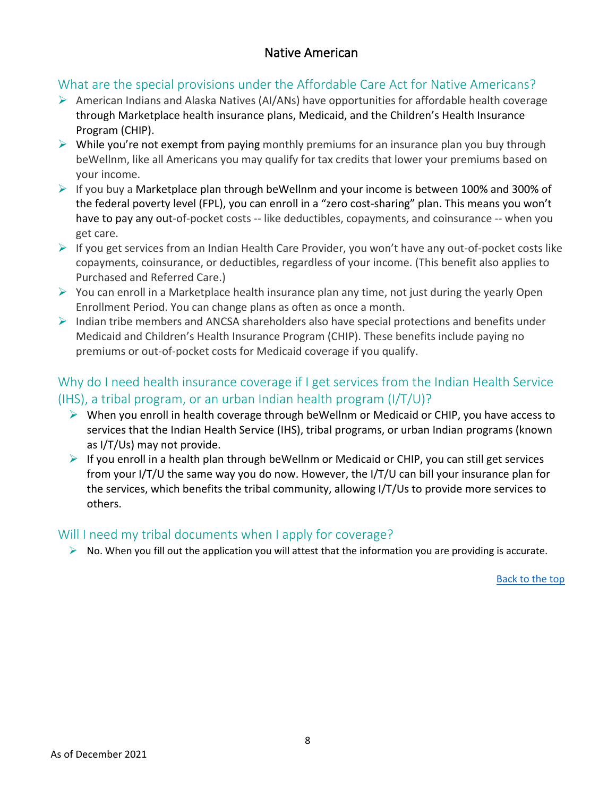# Native American

# <span id="page-7-0"></span>What are the special provisions under the Affordable Care Act for Native Americans?

- $\triangleright$  American Indians and Alaska Natives (AI/ANs) have opportunities for affordable health coverage through Marketplace health insurance plans, [Medicaid,](https://www.healthcare.gov/medicaid-chip/eligibility/) and the [Children's Health Insurance](https://www.healthcare.gov/medicaid-chip/childrens-health-insurance-program/)  [Program \(CHIP\).](https://www.healthcare.gov/medicaid-chip/childrens-health-insurance-program/)
- $\triangleright$  While you're not exempt from paying monthly premiums for an insurance plan you buy through beWellnm, like all Americans you may qualify for tax credits that lower your premiums based on your income.
- $\triangleright$  If you buy a Marketplace plan through beWellnm and your income is between 100% and 300% of the federal poverty level (FPL), you can enroll in a "zero cost-sharing" plan. This means you won't have to pay any out-of-pocket costs -- like deductibles, copayments, and coinsurance -- when you get care.
- $\triangleright$  If you get services from an Indian Health Care Provider, you won't have any out-of-pocket costs like copayments, coinsurance, or deductibles, regardless of your income. (This benefit also applies to Purchased and Referred Care.)
- $\triangleright$  You can enroll in a Marketplace health insurance plan any time, not just during the yearly Open Enrollment Period. You can change plans as often as once a month.
- $\triangleright$  Indian tribe members and ANCSA shareholders also have special protections and benefits under Medicaid and Children's Health Insurance Program (CHIP). These benefits include paying no premiums or out-of-pocket costs for Medicaid coverage if you qualify.

# <span id="page-7-1"></span>Why do I need health insurance coverage if I get services from the Indian Health Service (IHS), a tribal program, or an urban Indian health program (I/T/U)?

- $\triangleright$  When you enroll in health coverage through beWellnm or Medicaid or CHIP, you have access to services that the Indian Health Service (IHS), tribal programs, or urban Indian programs (known as I/T/Us) may not provide.
- $\triangleright$  If you enroll in a health plan through beWellnm or Medicaid or CHIP, you can still get services from your I/T/U the same way you do now. However, the I/T/U can bill your insurance plan for the services, which benefits the tribal community, allowing I/T/Us to provide more services to others.

# <span id="page-7-2"></span>Will I need my tribal documents when I apply for coverage?

 $\triangleright$  No. When you fill out the application you will attest that the information you are providing is accurate.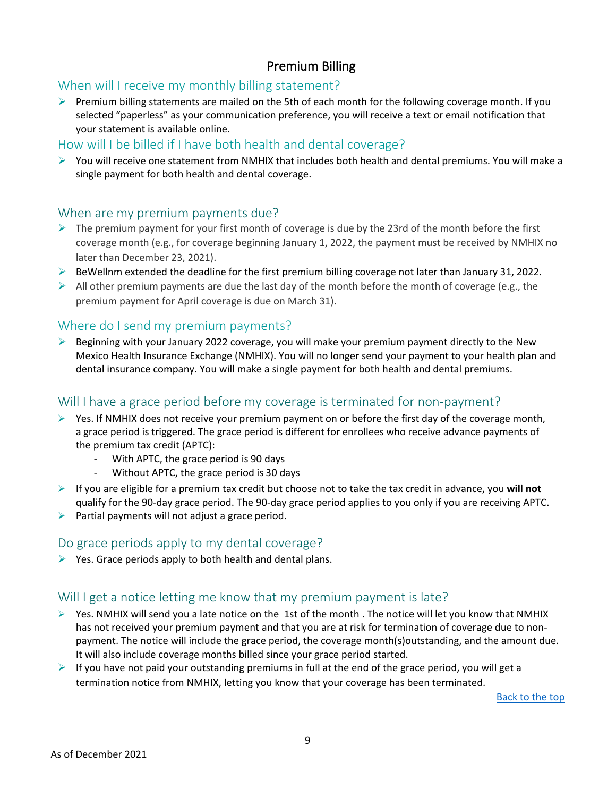# Premium Billing

# <span id="page-8-1"></span><span id="page-8-0"></span>When will I receive my monthly billing statement?

**Premium billing statements are mailed on the 5th of each month for the following coverage month. If you** selected "paperless" as your communication preference, you will receive a text or email notification that your statement is available online.

#### <span id="page-8-2"></span>How will I be billed if I have both health and dental coverage?

 $\triangleright$  You will receive one statement from NMHIX that includes both health and dental premiums. You will make a single payment for both health and dental coverage.

#### <span id="page-8-3"></span>When are my premium payments due?

- $\triangleright$  The premium payment for your first month of coverage is due by the 23rd of the month before the first coverage month (e.g., for coverage beginning January 1, 2022, the payment must be received by NMHIX no later than December 23, 2021).
- $\triangleright$  BeWellnm extended the deadline for the first premium billing coverage not later than January 31, 2022.
- $\triangleright$  All other premium payments are due the last day of the month before the month of coverage (e.g., the premium payment for April coverage is due on March 31).

### <span id="page-8-4"></span>Where do I send my premium payments?

 $\triangleright$  Beginning with your January 2022 coverage, you will make your premium payment directly to the New Mexico Health Insurance Exchange (NMHIX). You will no longer send your payment to your health plan and dental insurance company. You will make a single payment for both health and dental premiums.

## <span id="page-8-5"></span>Will I have a grace period before my coverage is terminated for non-payment?

- $\triangleright$  Yes. If NMHIX does not receive your premium payment on or before the first day of the coverage month, a grace period is triggered. The grace period is different for enrollees who receive advance payments of the premium tax credit (APTC):
	- With APTC, the grace period is 90 days
	- Without APTC, the grace period is 30 days
- If you are eligible for a premium tax credit but choose not to take the tax credit in advance, you **will not** qualify for the 90-day grace period. The 90-day grace period applies to you only if you are receiving APTC.
- $\triangleright$  Partial payments will not adjust a grace period.

#### <span id="page-8-6"></span>Do grace periods apply to my dental coverage?

 $\triangleright$  Yes. Grace periods apply to both health and dental plans.

# <span id="page-8-7"></span>Will I get a notice letting me know that my premium payment is late?

- $\triangleright$  Yes. NMHIX will send you a late notice on the 1st of the month . The notice will let you know that NMHIX has not received your premium payment and that you are at risk for termination of coverage due to nonpayment. The notice will include the grace period, the coverage month(s)outstanding, and the amount due. It will also include coverage months billed since your grace period started.
- <span id="page-8-8"></span> $\triangleright$  If you have not paid your outstanding premiums in full at the end of the grace period, you will get a termination notice from NMHIX, letting you know that your coverage has been terminated.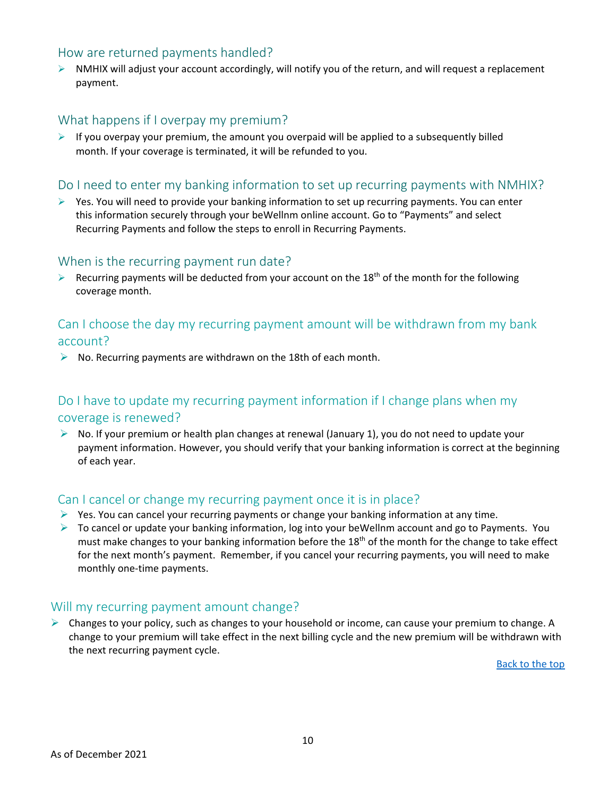#### How are returned payments handled?

 $\triangleright$  NMHIX will adjust your account accordingly, will notify you of the return, and will request a replacement payment.

# <span id="page-9-0"></span>What happens if I overpay my premium?

 $\triangleright$  If you overpay your premium, the amount you overpaid will be applied to a subsequently billed month. If your coverage is terminated, it will be refunded to you.

## <span id="page-9-1"></span>Do I need to enter my banking information to set up recurring payments with NMHIX?

 $\triangleright$  Yes. You will need to provide your banking information to set up recurring payments. You can enter this information securely through your beWellnm online account. Go to "Payments" and select Recurring Payments and follow the steps to enroll in Recurring Payments.

# <span id="page-9-2"></span>When is the recurring payment run date?

Recurring payments will be deducted from your account on the 18<sup>th</sup> of the month for the following coverage month.

# <span id="page-9-3"></span>Can I choose the day my recurring payment amount will be withdrawn from my bank account?

 $\triangleright$  No. Recurring payments are withdrawn on the 18th of each month.

# <span id="page-9-4"></span>Do I have to update my recurring payment information if I change plans when my coverage is renewed?

 $\triangleright$  No. If your premium or health plan changes at renewal (January 1), you do not need to update your payment information. However, you should verify that your banking information is correct at the beginning of each year.

#### Can I cancel or change my recurring payment once it is in place?

- $\triangleright$  Yes. You can cancel your recurring payments or change your banking information at any time.
- $\triangleright$  To cancel or update your banking information, log into your beWellnm account and go to Payments. You must make changes to your banking information before the  $18<sup>th</sup>$  of the month for the change to take effect for the next month's payment. Remember, if you cancel your recurring payments, you will need to make monthly one-time payments.

#### Will my recurring payment amount change?

 $\triangleright$  Changes to your policy, such as changes to your household or income, can cause your premium to change. A change to your premium will take effect in the next billing cycle and the new premium will be withdrawn with the next recurring payment cycle.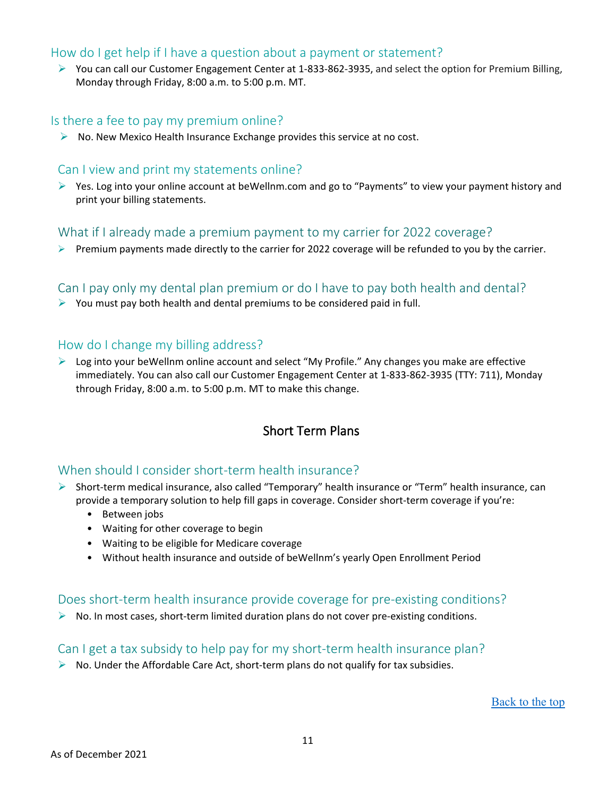## How do I get help if I have a question about a payment or statement?

You can call our Customer Engagement Center at 1-833-862-3935, and select the option for Premium Billing, Monday through Friday, 8:00 a.m. to 5:00 p.m. MT.

### Is there a fee to pay my premium online?

 $\triangleright$  No. New Mexico Health Insurance Exchange provides this service at no cost.

### Can I view and print my statements online?

 $\triangleright$  Yes. Log into your online account at beWellnm.com and go to "Payments" to view your payment history and print your billing statements.

#### What if I already made a premium payment to my carrier for 2022 coverage?

 $\triangleright$  Premium payments made directly to the carrier for 2022 coverage will be refunded to you by the carrier.

### Can I pay only my dental plan premium or do I have to pay both health and dental?

 $\triangleright$  You must pay both health and dental premiums to be considered paid in full.

# <span id="page-10-0"></span>How do I change my billing address?

 $\triangleright$  Log into your beWellnm online account and select "My Profile." Any changes you make are effective immediately. You can also call our Customer Engagement Center at 1-833-862-3935 (TTY: 711), Monday through Friday, 8:00 a.m. to 5:00 p.m. MT to make this change.

# Short Term Plans

# <span id="page-10-2"></span><span id="page-10-1"></span>When should I consider short-term health insurance?

- Short-term medical insurance, also called "Temporary" health insurance or "Term" health insurance, can provide a temporary solution to help fill gaps in coverage. Consider short-term coverage if you're:
	- Between jobs
	- Waiting for other coverage to begin
	- Waiting to be eligible for Medicare coverage
	- Without health insurance and outside of beWellnm's yearly Open Enrollment Period

#### <span id="page-10-3"></span>Does short-term health insurance provide coverage for pre-existing conditions?

 $\triangleright$  No. In most cases, short-term limited duration plans do not cover pre-existing conditions.

#### <span id="page-10-4"></span>Can I get a tax subsidy to help pay for my short-term health insurance plan?

 $\triangleright$  No. Under the Affordable Care Act, short-term plans do not qualify for tax subsidies.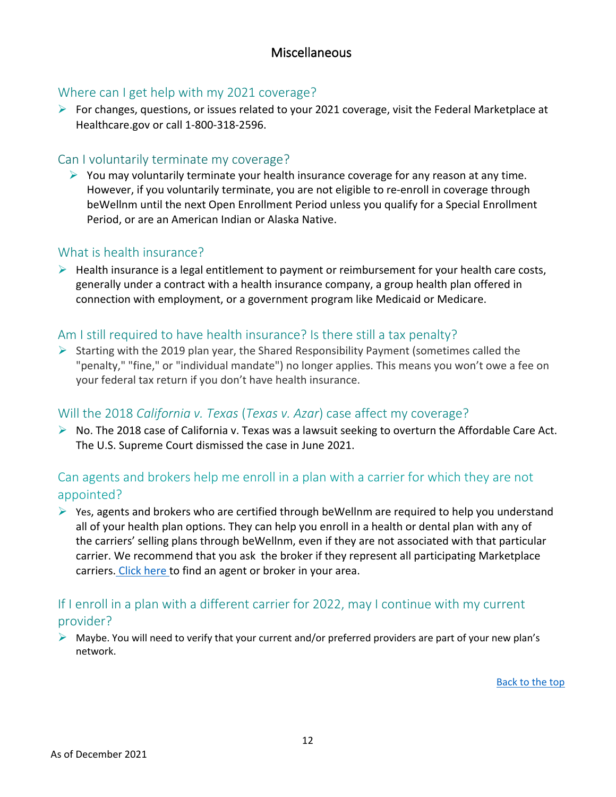# Miscellaneous

# <span id="page-11-1"></span><span id="page-11-0"></span>Where can I get help with my 2021 coverage?

 $\triangleright$  For changes, questions, or issues related to your 2021 coverage, visit the Federal Marketplace at Healthcare.gov or call 1-800-318-2596.

## <span id="page-11-2"></span>Can I voluntarily terminate my coverage?

 $\triangleright$  You may voluntarily terminate your health insurance coverage for any reason at any time. However, if you voluntarily terminate, you are not eligible to re-enroll in coverage through beWellnm until the next Open Enrollment Period unless you qualify for a Special Enrollment Period, or are an American Indian or Alaska Native.

### <span id="page-11-3"></span>What is health insurance?

 $\triangleright$  Health insurance is a legal entitlement to payment or reimbursement for your health care costs, generally under a contract with a health insurance company, a group health plan offered in connection with employment, or a government program like Medicaid or Medicare.

### <span id="page-11-4"></span>Am I still required to have health insurance? Is there still a tax penalty?

 $\triangleright$  Starting with the 2019 plan year, the Shared Responsibility Payment (sometimes called the "penalty," "fine," or "individual mandate") no longer applies. This means you won't owe a fee on your federal tax return if you don't have health insurance.

# <span id="page-11-5"></span>Will the 2018 *California v. Texas* (*Texas v. Azar*) case affect my coverage?

 $\triangleright$  No. The 2018 case of California v. Texas was a lawsuit seeking to overturn the Affordable Care Act. The U.S. Supreme Court dismissed the case in June 2021.

# <span id="page-11-6"></span>Can agents and brokers help me enroll in a plan with a carrier for which they are not appointed?

 $\triangleright$  Yes, agents and brokers who are certified through beWellnm are required to help you understand all of your health plan options. They can help you enroll in a health or dental plan with any of the carriers' selling plans through beWellnm, even if they are not associated with that particular carrier. We recommend that you ask the broker if they represent all participating Marketplace carriers. [Click here t](https://www.bewellnm.com/we-can-help/find-help-near-you/)o find an agent or broker in your area.

# <span id="page-11-7"></span>If I enroll in a plan with a different carrier for 2022, may I continue with my current provider?

<span id="page-11-8"></span> $\triangleright$  Maybe. You will need to verify that your current and/or preferred providers are part of your new plan's network.